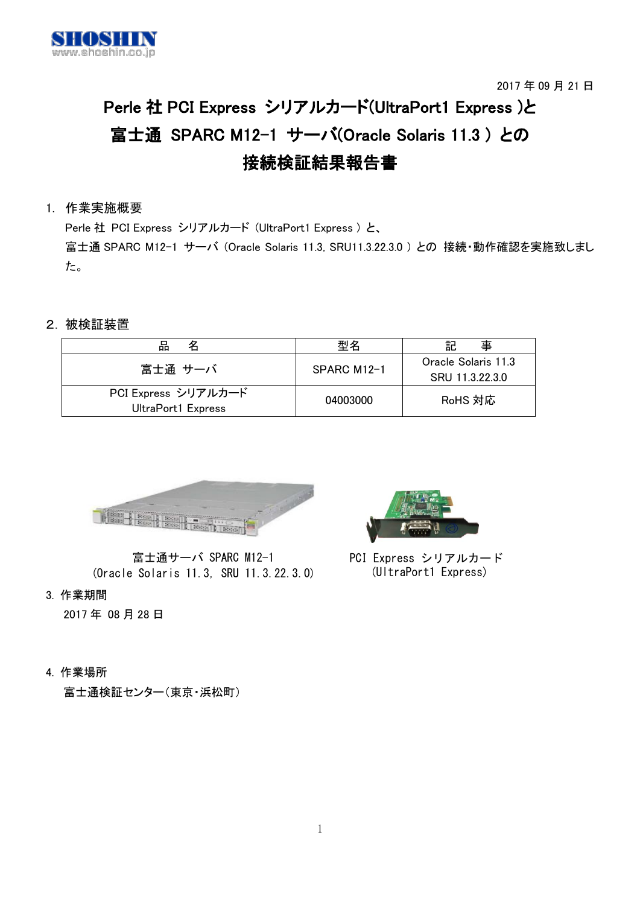

```
2017 年 09 月 21 日
```
# Perle 社 PCI Express シリアルカード(UltraPort1 Express )と 富士通 SPARC M12−1 サーバ(Oracle Solaris 11.3) との 接続検証結果報告書

## 1. 作業実施概要

Perle 社 PCI Express シリアルカード (UltraPort1 Express ) と、 富士通 SPARC M12-1 サーバ (Oracle Solaris 11.3, SRU11.3.22.3.0 ) との 接続・動作確認を実施致しまし た。

## 2.被検証装置

| 맘<br>名                                    | 型名            | 事<br>記                                 |
|-------------------------------------------|---------------|----------------------------------------|
| 富士通 サーバ                                   | $SPARC M12-1$ | Oracle Solaris 11.3<br>SRU 11.3.22.3.0 |
| PCI Express シリアルカード<br>UltraPort1 Express | 04003000      | RoHS 対応                                |



富士通サーバ SPARC M12-1 (Oracle Solaris 11.3, SRU 11.3.22.3.0)

3. 作業期間

2017 年 08 月 28 日

4. 作業場所

富士通検証センター(東京・浜松町)



PCI Express シリアルカード (UltraPort1 Express)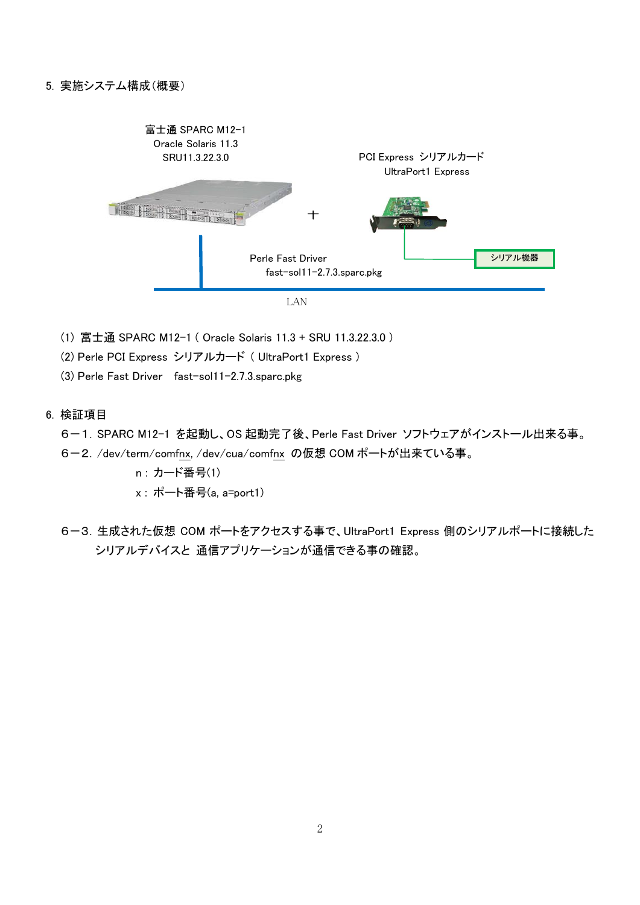

- (1) 富士通 SPARC M12-1 ( Oracle Solaris 11.3 + SRU 11.3.22.3.0 )
- (2) Perle PCI Express シリアルカード ( UltraPort1 Express )

(3) Perle Fast Driver fast-sol11-2.7.3.sparc.pkg

6. 検証項目

6-1.SPARC M12-1 を起動し、OS 起動完了後、Perle Fast Driver ソフトウェアがインストール出来る事。

- 6-2./dev/term/comfnx, /dev/cua/comfnx の仮想 COM ポートが出来ている事。
	- n : カード番号(1)
	- x : ポート番号(a, a=port1)
- 6-3.生成された仮想 COM ポートをアクセスする事で、UltraPort1 Express 側のシリアルポートに接続した シリアルデバイスと 通信アプリケーションが通信できる事の確認。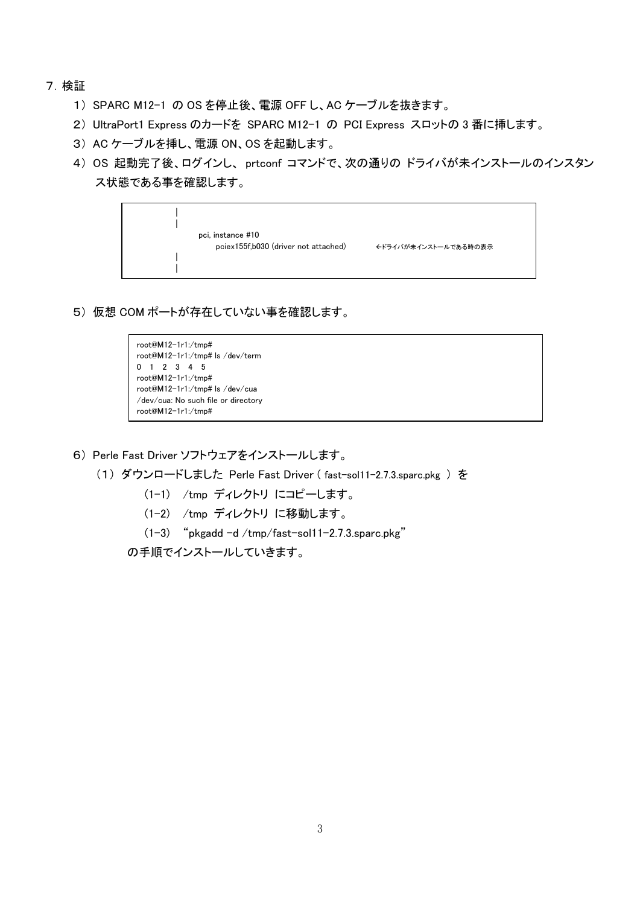- 7.検証
	- 1) SPARC M12-1 の OS を停止後、電源 OFF し、AC ケーブルを抜きます。
	- 2) UltraPort1 Express のカードを SPARC M12-1 の PCI Express スロットの 3 番に挿します。
	- 3) AC ケーブルを挿し、電源 ON、OS を起動します。
	- 4) OS 起動完了後、ログインし、 prtconf コマンドで、次の通りの ドライバが未インストールのインスタン ス状態である事を確認します。



5) 仮想 COM ポートが存在していない事を確認します。

```
root@M12-1r1:/tmp#
root@M12-1r1:/tmp# ls /dev/term
0 1 2 3 4 5
root@M12-1r1:/tmp#
root@M12-1r1:/tmp# ls /dev/cua
/dev/cua: No such file or directory
root@M12-1r1:/tmp#
```
- 6) Perle Fast Driver ソフトウェアをインストールします。
	- (1) ダウンロードしました Perle Fast Driver ( fast-sol11-2.7.3.sparc.pkg ) を
		- (1-1) /tmp ディレクトリ にコピーします。
		- (1-2) /tmp ディレクトリ に移動します。
		- (1-3) "pkgadd -d /tmp/fast-sol11-2.7.3.sparc.pkg"

の手順でインストールしていきます。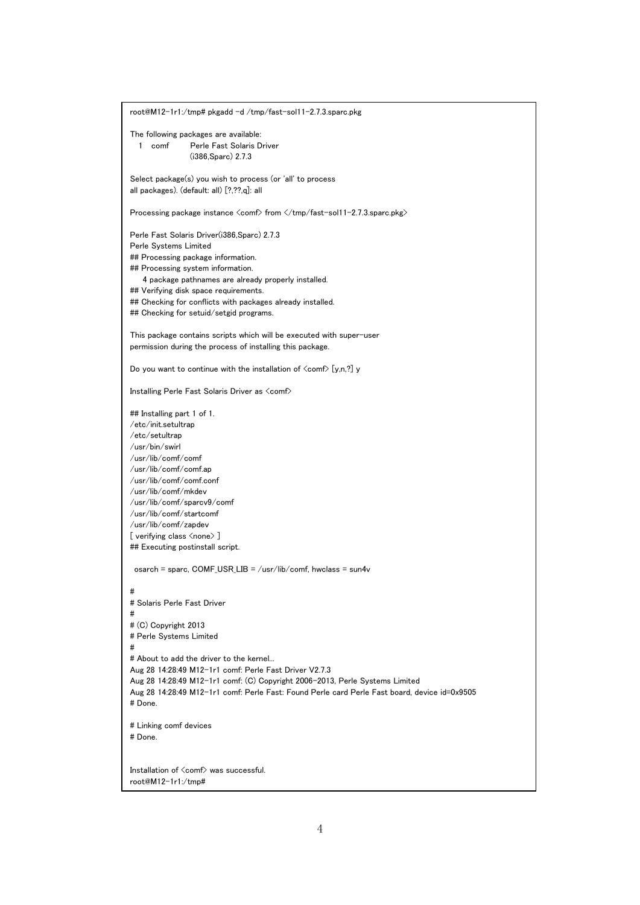root@M12-1r1:/tmp# pkgadd -d /tmp/fast-sol11-2.7.3.sparc.pkg The following packages are available: 1 comf Perle Fast Solaris Driver (i386,Sparc) 2.7.3 Select package(s) you wish to process (or 'all' to process all packages). (default: all) [?,??,q]: all Processing package instance <comf> from </tmp/fast-sol11-2.7.3.sparc.pkg> Perle Fast Solaris Driver(i386,Sparc) 2.7.3 Perle Systems Limited ## Processing package information. ## Processing system information. 4 package pathnames are already properly installed. ## Verifying disk space requirements. ## Checking for conflicts with packages already installed. ## Checking for setuid/setgid programs. This package contains scripts which will be executed with super-user permission during the process of installing this package. Do you want to continue with the installation of  $\langle \text{com} \rangle$  [y,n,?] y Installing Perle Fast Solaris Driver as <comf> ## Installing part 1 of 1. /etc/init.setultrap /etc/setultrap /usr/bin/swirl /usr/lib/comf/comf /usr/lib/comf/comf.ap /usr/lib/comf/comf.conf /usr/lib/comf/mkdev /usr/lib/comf/sparcv9/comf /usr/lib/comf/startcomf /usr/lib/comf/zapdev [ verifying class <none> ] ## Executing postinstall script. osarch = sparc,  $COMF_l \cup SR_l \cup \cup P = \text{Cov} / \text{lib}/\text{conf}$ , hwclass = sun4v # # Solaris Perle Fast Driver # # (C) Copyright 2013 # Perle Systems Limited # # About to add the driver to the kernel... Aug 28 14:28:49 M12-1r1 comf: Perle Fast Driver V2.7.3 Aug 28 14:28:49 M12-1r1 comf: (C) Copyright 2006-2013, Perle Systems Limited Aug 28 14:28:49 M12-1r1 comf: Perle Fast: Found Perle card Perle Fast board, device id=0x9505 # Done. # Linking comf devices # Done. Installation of <comf> was successful. root@M12-1r1:/tmp#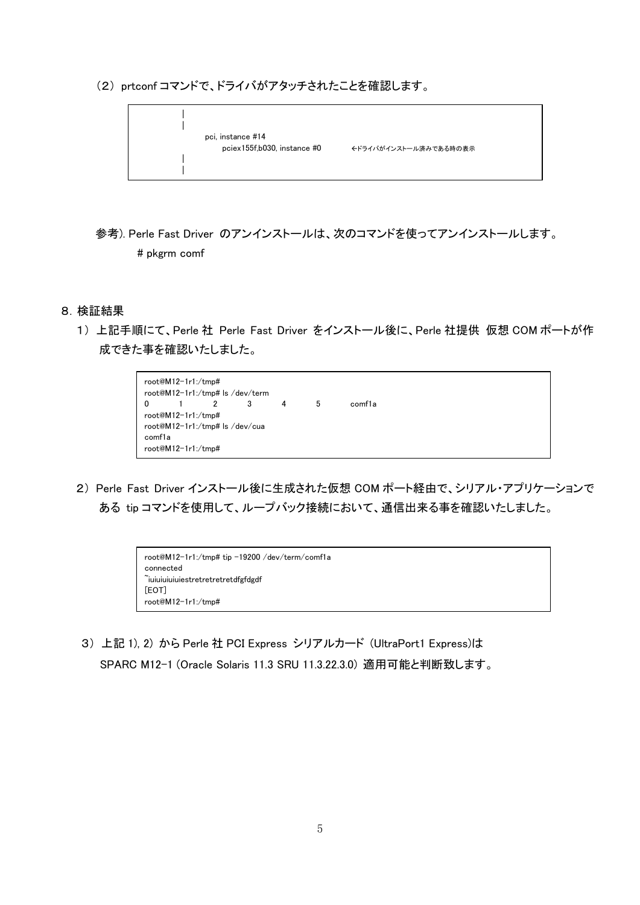(2) prtconf コマンドで、ドライバがアタッチされたことを確認します。



参考). Perle Fast Driver のアンインストールは、次のコマンドを使ってアンインストールします。 # pkgrm comf

#### 8.検証結果

1) 上記手順にて、Perle 社 Perle Fast Driver をインストール後に、Perle 社提供 仮想 COM ポートが作 成できた事を確認いたしました。



2) Perle Fast Driver インストール後に生成された仮想 COM ポート経由で、シリアル・アプリケーションで ある tip コマンドを使用して、ループバック接続において、通信出来る事を確認いたしました。

| root@M12-1r1:/tmp# tip -19200 /dev/term/comf1a |  |
|------------------------------------------------|--|
| connected                                      |  |
| iuiuiuiuiuiestretretretretdfgfdgdf             |  |
| [EOT]                                          |  |
| root@M12-1r1:/tmp#                             |  |

3) 上記 1), 2) から Perle 社 PCI Express シリアルカード (UltraPort1 Express)は SPARC M12-1 (Oracle Solaris 11.3 SRU 11.3.22.3.0) 適用可能と判断致します。